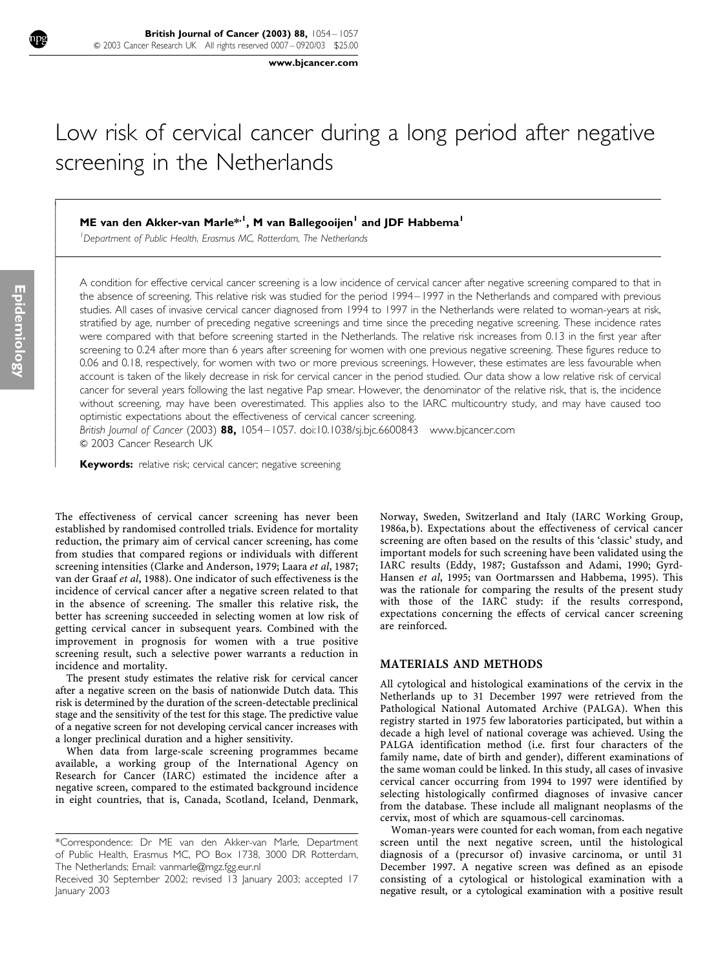www.bjcancer.com

# Low risk of cervical cancer during a long period after negative screening in the Netherlands

# ME van den Akker-van Marle<sup>\*,1</sup>, M van Ballegooijen<sup>1</sup> and JDF Habbema<sup>1</sup>

<sup>1</sup>Department of Public Health, Erasmus MC, Rotterdam, The Netherlands

A condition for effective cervical cancer screening is a low incidence of cervical cancer after negative screening compared to that in the absence of screening. This relative risk was studied for the period 1994–1997 in the Netherlands and compared with previous studies. All cases of invasive cervical cancer diagnosed from 1994 to 1997 in the Netherlands were related to woman-years at risk, stratified by age, number of preceding negative screenings and time since the preceding negative screening. These incidence rates were compared with that before screening started in the Netherlands. The relative risk increases from 0.13 in the first year after screening to 0.24 after more than 6 years after screening for women with one previous negative screening. These figures reduce to 0.06 and 0.18, respectively, for women with two or more previous screenings. However, these estimates are less favourable when account is taken of the likely decrease in risk for cervical cancer in the period studied. Our data show a low relative risk of cervical cancer for several years following the last negative Pap smear. However, the denominator of the relative risk, that is, the incidence without screening, may have been overestimated. This applies also to the IARC multicountry study, and may have caused too optimistic expectations about the effectiveness of cervical cancer screening.

British Journal of Cancer (2003)  $88$ , 1054–1057. doi:10.1038/sj.bjc.6600843 www.bjcancer.com  $@$  2003 Cancer Research UK

Keywords: relative risk; cervical cancer; negative screening

The effectiveness of cervical cancer screening has never been established by randomised controlled trials. Evidence for mortality reduction, the primary aim of cervical cancer screening, has come from studies that compared regions or individuals with different screening intensities (Clarke and Anderson, 1979; Laara et al, 1987; van der Graaf et al, 1988). One indicator of such effectiveness is the incidence of cervical cancer after a negative screen related to that in the absence of screening. The smaller this relative risk, the better has screening succeeded in selecting women at low risk of getting cervical cancer in subsequent years. Combined with the improvement in prognosis for women with a true positive screening result, such a selective power warrants a reduction in incidence and mortality.

The present study estimates the relative risk for cervical cancer after a negative screen on the basis of nationwide Dutch data. This risk is determined by the duration of the screen-detectable preclinical stage and the sensitivity of the test for this stage. The predictive value of a negative screen for not developing cervical cancer increases with a longer preclinical duration and a higher sensitivity.

When data from large-scale screening programmes became available, a working group of the International Agency on Research for Cancer (IARC) estimated the incidence after a negative screen, compared to the estimated background incidence in eight countries, that is, Canada, Scotland, Iceland, Denmark,

Norway, Sweden, Switzerland and Italy (IARC Working Group, 1986a, b). Expectations about the effectiveness of cervical cancer screening are often based on the results of this 'classic' study, and important models for such screening have been validated using the IARC results (Eddy, 1987; Gustafsson and Adami, 1990; Gyrd-Hansen et al, 1995; van Oortmarssen and Habbema, 1995). This was the rationale for comparing the results of the present study with those of the IARC study: if the results correspond, expectations concerning the effects of cervical cancer screening are reinforced.

#### MATERIALS AND METHODS

All cytological and histological examinations of the cervix in the Netherlands up to 31 December 1997 were retrieved from the Pathological National Automated Archive (PALGA). When this registry started in 1975 few laboratories participated, but within a decade a high level of national coverage was achieved. Using the PALGA identification method (i.e. first four characters of the family name, date of birth and gender), different examinations of the same woman could be linked. In this study, all cases of invasive cervical cancer occurring from 1994 to 1997 were identified by selecting histologically confirmed diagnoses of invasive cancer from the database. These include all malignant neoplasms of the cervix, most of which are squamous-cell carcinomas.

Woman-years were counted for each woman, from each negative screen until the next negative screen, until the histological diagnosis of a (precursor of) invasive carcinoma, or until 31 December 1997. A negative screen was defined as an episode consisting of a cytological or histological examination with a negative result, or a cytological examination with a positive result

Í I I

l ľ I I I ł

ł I I I I

I I I I ł

<sup>\*</sup>Correspondence: Dr ME van den Akker-van Marle, Department of Public Health, Erasmus MC, PO Box 1738, 3000 DR Rotterdam, The Netherlands; Email: vanmarle@mgz.fgg.eur.nl

Received 30 September 2002; revised 13 January 2003; accepted 17 January 2003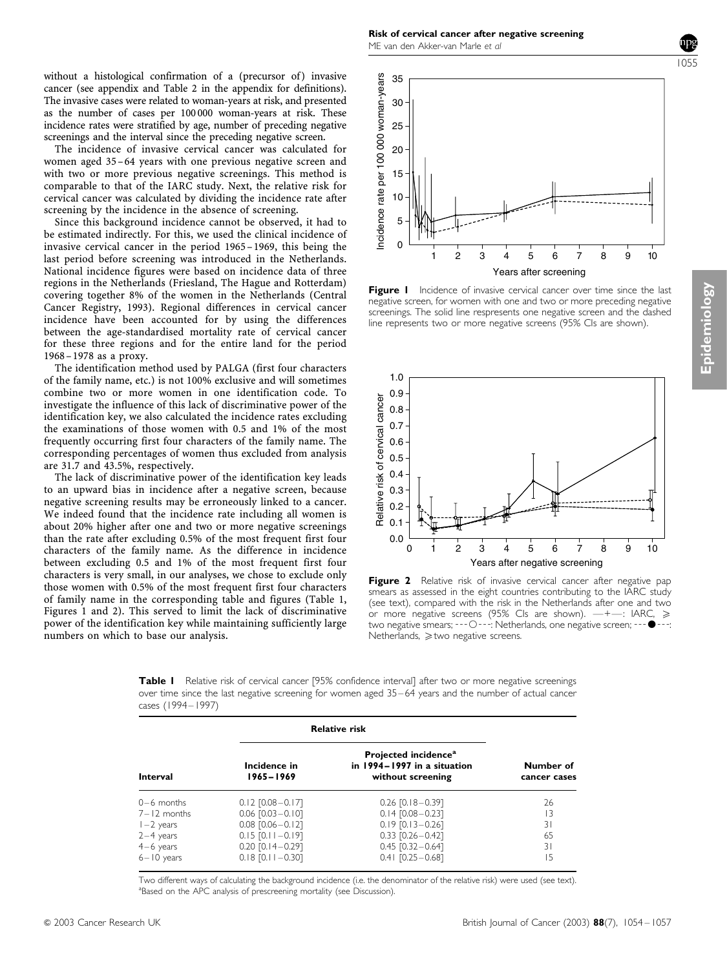without a histological confirmation of a (precursor of) invasive cancer (see appendix and Table 2 in the appendix for definitions). The invasive cases were related to woman-years at risk, and presented as the number of cases per 100 000 woman-years at risk. These incidence rates were stratified by age, number of preceding negative screenings and the interval since the preceding negative screen.

The incidence of invasive cervical cancer was calculated for women aged 35–64 years with one previous negative screen and with two or more previous negative screenings. This method is comparable to that of the IARC study. Next, the relative risk for cervical cancer was calculated by dividing the incidence rate after screening by the incidence in the absence of screening.

Since this background incidence cannot be observed, it had to be estimated indirectly. For this, we used the clinical incidence of invasive cervical cancer in the period 1965–1969, this being the last period before screening was introduced in the Netherlands. National incidence figures were based on incidence data of three regions in the Netherlands (Friesland, The Hague and Rotterdam) covering together 8% of the women in the Netherlands (Central Cancer Registry, 1993). Regional differences in cervical cancer incidence have been accounted for by using the differences between the age-standardised mortality rate of cervical cancer for these three regions and for the entire land for the period 1968– 1978 as a proxy.

The identification method used by PALGA (first four characters of the family name, etc.) is not 100% exclusive and will sometimes combine two or more women in one identification code. To investigate the influence of this lack of discriminative power of the identification key, we also calculated the incidence rates excluding the examinations of those women with 0.5 and 1% of the most frequently occurring first four characters of the family name. The corresponding percentages of women thus excluded from analysis are 31.7 and 43.5%, respectively.

The lack of discriminative power of the identification key leads to an upward bias in incidence after a negative screen, because negative screening results may be erroneously linked to a cancer. We indeed found that the incidence rate including all women is about 20% higher after one and two or more negative screenings than the rate after excluding 0.5% of the most frequent first four characters of the family name. As the difference in incidence between excluding 0.5 and 1% of the most frequent first four characters is very small, in our analyses, we chose to exclude only those women with 0.5% of the most frequent first four characters of family name in the corresponding table and figures (Table 1, Figures 1 and 2). This served to limit the lack of discriminative power of the identification key while maintaining sufficiently large numbers on which to base our analysis.

Risk of cervical cancer after negative screening ME van den Akker-van Marle et al

1055



Figure 1 Incidence of invasive cervical cancer over time since the last negative screen, for women with one and two or more preceding negative screenings. The solid line respresents one negative screen and the dashed line represents two or more negative screens (95% CIs are shown).



Figure 2 Relative risk of invasive cervical cancer after negative pap smears as assessed in the eight countries contributing to the IARC study (see text), compared with the risk in the Netherlands after one and two or more negative screens (95% CIs are shown).  $-+-$ : IARC,  $\geq$ two negative smears; ---O---: Netherlands, one negative screen; ---• Netherlands,  $\geq$  two negative screens.

Table I Relative risk of cervical cancer [95% confidence interval] after two or more negative screenings over time since the last negative screening for women aged 35–64 years and the number of actual cancer cases (1994–1997)

| <b>Interval</b> | <b>Relative risk</b>          |                                                                                      |                           |
|-----------------|-------------------------------|--------------------------------------------------------------------------------------|---------------------------|
|                 | Incidence in<br>$1965 - 1969$ | Projected incidence <sup>a</sup><br>in 1994–1997 in a situation<br>without screening | Number of<br>cancer cases |
| $0-6$ months    | $0.12$ $[0.08 - 0.17]$        | $0.26$ [0.18 $-0.39$ ]                                                               | 26                        |
| $7 - 12$ months | $0.06$ $[0.03 - 0.10]$        | $0.14$ $[0.08 - 0.23]$                                                               | 13                        |
| $1-2$ years     | $0.08$ $[0.06 - 0.12]$        | $0.19$ [0.13 - 0.26]                                                                 | 31                        |
| $2-4$ years     | $0.15$ [0.11 - 0.19]          | $0.33$ $[0.26 - 0.42]$                                                               | 65                        |
| $4-6$ years     | $0.20$ $[0.14 - 0.29]$        | $0.45$ $[0.32 - 0.64]$                                                               | 31                        |
| $6 - 10$ years  | $0.18$ [0.11 - 0.30]          | $0.41$ $[0.25 - 0.68]$                                                               | 15                        |

Two different ways of calculating the background incidence (i.e. the denominator of the relative risk) were used (see text). <sup>a</sup>Based on the APC analysis of prescreening mortality (see Discussion).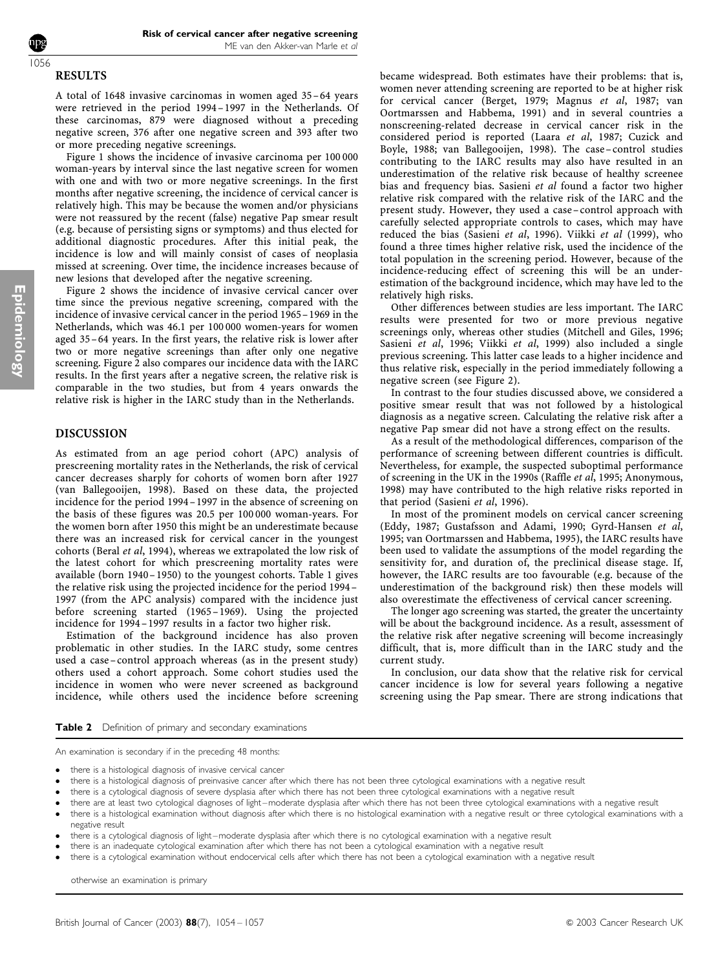#### **RESULTS** 1056

A total of 1648 invasive carcinomas in women aged 35–64 years were retrieved in the period 1994–1997 in the Netherlands. Of these carcinomas, 879 were diagnosed without a preceding negative screen, 376 after one negative screen and 393 after two or more preceding negative screenings.

Figure 1 shows the incidence of invasive carcinoma per 100 000 woman-years by interval since the last negative screen for women with one and with two or more negative screenings. In the first months after negative screening, the incidence of cervical cancer is relatively high. This may be because the women and/or physicians were not reassured by the recent (false) negative Pap smear result (e.g. because of persisting signs or symptoms) and thus elected for additional diagnostic procedures. After this initial peak, the incidence is low and will mainly consist of cases of neoplasia missed at screening. Over time, the incidence increases because of new lesions that developed after the negative screening.

Figure 2 shows the incidence of invasive cervical cancer over time since the previous negative screening, compared with the incidence of invasive cervical cancer in the period 1965–1969 in the Netherlands, which was 46.1 per 100 000 women-years for women aged 35–64 years. In the first years, the relative risk is lower after two or more negative screenings than after only one negative screening. Figure 2 also compares our incidence data with the IARC results. In the first years after a negative screen, the relative risk is comparable in the two studies, but from 4 years onwards the relative risk is higher in the IARC study than in the Netherlands.

### DISCUSSION

As estimated from an age period cohort (APC) analysis of prescreening mortality rates in the Netherlands, the risk of cervical cancer decreases sharply for cohorts of women born after 1927 (van Ballegooijen, 1998). Based on these data, the projected incidence for the period 1994–1997 in the absence of screening on the basis of these figures was 20.5 per 100 000 woman-years. For the women born after 1950 this might be an underestimate because there was an increased risk for cervical cancer in the youngest cohorts (Beral et al, 1994), whereas we extrapolated the low risk of the latest cohort for which prescreening mortality rates were available (born 1940– 1950) to the youngest cohorts. Table 1 gives the relative risk using the projected incidence for the period 1994– 1997 (from the APC analysis) compared with the incidence just before screening started (1965–1969). Using the projected incidence for 1994–1997 results in a factor two higher risk.

Estimation of the background incidence has also proven problematic in other studies. In the IARC study, some centres used a case–control approach whereas (as in the present study) others used a cohort approach. Some cohort studies used the incidence in women who were never screened as background incidence, while others used the incidence before screening became widespread. Both estimates have their problems: that is, women never attending screening are reported to be at higher risk for cervical cancer (Berget, 1979; Magnus et al, 1987; van Oortmarssen and Habbema, 1991) and in several countries a nonscreening-related decrease in cervical cancer risk in the considered period is reported (Laara et al, 1987; Cuzick and Boyle, 1988; van Ballegooijen, 1998). The case–control studies contributing to the IARC results may also have resulted in an underestimation of the relative risk because of healthy screenee bias and frequency bias. Sasieni et al found a factor two higher relative risk compared with the relative risk of the IARC and the present study. However, they used a case–control approach with carefully selected appropriate controls to cases, which may have reduced the bias (Sasieni et al, 1996). Viikki et al (1999), who found a three times higher relative risk, used the incidence of the total population in the screening period. However, because of the incidence-reducing effect of screening this will be an underestimation of the background incidence, which may have led to the relatively high risks.

Other differences between studies are less important. The IARC results were presented for two or more previous negative screenings only, whereas other studies (Mitchell and Giles, 1996; Sasieni et al, 1996; Viikki et al, 1999) also included a single previous screening. This latter case leads to a higher incidence and thus relative risk, especially in the period immediately following a negative screen (see Figure 2).

In contrast to the four studies discussed above, we considered a positive smear result that was not followed by a histological diagnosis as a negative screen. Calculating the relative risk after a negative Pap smear did not have a strong effect on the results.

As a result of the methodological differences, comparison of the performance of screening between different countries is difficult. Nevertheless, for example, the suspected suboptimal performance of screening in the UK in the 1990s (Raffle et al, 1995; Anonymous, 1998) may have contributed to the high relative risks reported in that period (Sasieni et al, 1996).

In most of the prominent models on cervical cancer screening (Eddy, 1987; Gustafsson and Adami, 1990; Gyrd-Hansen et al, 1995; van Oortmarssen and Habbema, 1995), the IARC results have been used to validate the assumptions of the model regarding the sensitivity for, and duration of, the preclinical disease stage. If, however, the IARC results are too favourable (e.g. because of the underestimation of the background risk) then these models will also overestimate the effectiveness of cervical cancer screening.

The longer ago screening was started, the greater the uncertainty will be about the background incidence. As a result, assessment of the relative risk after negative screening will become increasingly difficult, that is, more difficult than in the IARC study and the current study.

In conclusion, our data show that the relative risk for cervical cancer incidence is low for several years following a negative screening using the Pap smear. There are strong indications that

#### Table 2 Definition of primary and secondary examinations

An examination is secondary if in the preceding 48 months:

- there is a histological diagnosis of invasive cervical cancer
- there is a histological diagnosis of preinvasive cancer after which there has not been three cytological examinations with a negative result
- there is a cytological diagnosis of severe dysplasia after which there has not been three cytological examinations with a negative result
- there are at least two cytological diagnoses of light–moderate dysplasia after which there has not been three cytological examinations with a negative result
- there is a histological examination without diagnosis after which there is no histological examination with a negative result or three cytological examinations with a negative result
- there is a cytological diagnosis of light–moderate dysplasia after which there is no cytological examination with a negative result
- there is an inadequate cytological examination after which there has not been a cytological examination with a negative result
- there is a cytological examination without endocervical cells after which there has not been a cytological examination with a negative result

otherwise an examination is primary